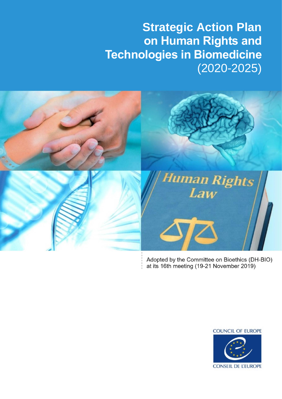# **Strategic Action Plan on Human Rights and Technologies in Biomedicine** (2020-2025)



Adopted by the Committee on Bioethics (DH-BIO) at its 16th meeting (19-21 November 2019)

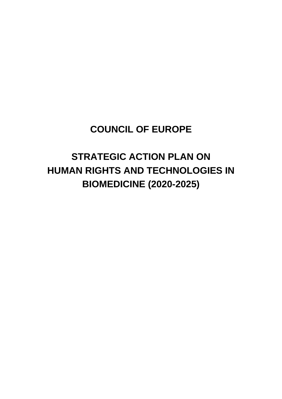# **COUNCIL OF EUROPE**

# **STRATEGIC ACTION PLAN ON HUMAN RIGHTS AND TECHNOLOGIES IN BIOMEDICINE (2020-2025)**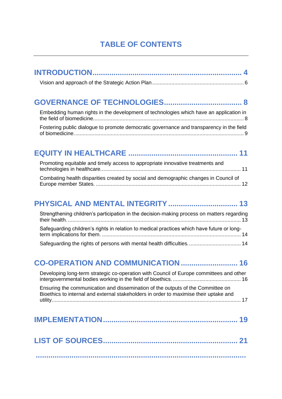# **TABLE OF CONTENTS**

### **[GOVERNANCE OF TECHNOLOGIES.....................................](#page-7-0) 8**

| Embedding human rights in the development of technologies which have an application in   |  |
|------------------------------------------------------------------------------------------|--|
| Fostering public dialogue to promote democratic governance and transparency in the field |  |
|                                                                                          |  |

### **EQUITY IN HEALTHCARE [....................................................](#page-10-0) 11**

| Promoting equitable and timely access to appropriate innovative treatments and       |  |
|--------------------------------------------------------------------------------------|--|
| Combating health disparities created by social and demographic changes in Council of |  |

### **[PHYSICAL AND MENTAL INTEGRITY.................................](#page-12-0) 13**

| Strengthening children's participation in the decision-making process on matters regarding |  |  |
|--------------------------------------------------------------------------------------------|--|--|
| Safeguarding children's rights in relation to medical practices which have future or long- |  |  |
|                                                                                            |  |  |

### **[CO-OPERATION AND COMMUNICATION](#page-15-0) ........................... 16**

[Developing long-term strategic co-operation with Council of Europe committees and other](#page-15-1)  [intergovernmental bodies working in the field of bioethics.](#page-15-1) .............................................. 16 [Ensuring the communication and dissemination of the outputs of the Committee on](#page-16-0)  [Bioethics to internal and external stakeholders in order to maximise their uptake and](#page-16-0)  [utility................................................................................................................................](#page-16-0) 17

<span id="page-3-0"></span>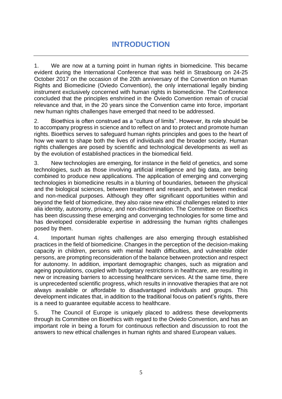# **INTRODUCTION**

1. We are now at a turning point in human rights in biomedicine. This became evident during the International Conference that was held in Strasbourg on 24-25 October 2017 on the occasion of the 20th anniversary of the Convention on Human Rights and Biomedicine (Oviedo Convention), the only international legally binding instrument exclusively concerned with human rights in biomedicine. The Conference concluded that the principles enshrined in the Oviedo Convention remain of crucial relevance and that, in the 20 years since the Convention came into force, important new human rights challenges have emerged that need to be addressed.

2. Bioethics is often construed as a "culture of limits". However, its role should be to accompany progress in science and to reflect on and to protect and promote human rights. Bioethics serves to safeguard human rights principles and goes to the heart of how we want to shape both the lives of individuals and the broader society. Human rights challenges are posed by scientific and technological developments as well as by the evolution of established practices in the biomedical field.

3. New technologies are emerging, for instance in the field of genetics, and some technologies, such as those involving artificial intelligence and big data, are being combined to produce new applications. The application of emerging and converging technologies in biomedicine results in a blurring of boundaries, between the physical and the biological sciences, between treatment and research, and between medical and non-medical purposes. Although they offer significant opportunities within and beyond the field of biomedicine, they also raise new ethical challenges related to inter alia identity, autonomy, privacy, and non-discrimination. The Committee on Bioethics has been discussing these emerging and converging technologies for some time and has developed considerable expertise in addressing the human rights challenges posed by them.

4. Important human rights challenges are also emerging through established practices in the field of biomedicine. Changes in the perception of the decision-making capacity in children, persons with mental health difficulties, and vulnerable older persons, are prompting reconsideration of the balance between protection and respect for autonomy. In addition, important demographic changes, such as migration and ageing populations, coupled with budgetary restrictions in healthcare, are resulting in new or increasing barriers to accessing healthcare services. At the same time, there is unprecedented scientific progress, which results in innovative therapies that are not always available or affordable to disadvantaged individuals and groups. This development indicates that, in addition to the traditional focus on patient's rights, there is a need to guarantee equitable access to healthcare.

5. The Council of Europe is uniquely placed to address these developments through its Committee on Bioethics with regard to the Oviedo Convention, and has an important role in being a forum for continuous reflection and discussion to root the answers to new ethical challenges in human rights and shared European values.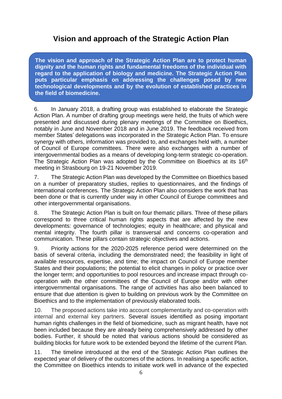### <span id="page-5-0"></span>**Vision and approach of the Strategic Action Plan**

**The vision and approach of the Strategic Action Plan are to protect human dignity and the human rights and fundamental freedoms of the individual with regard to the application of biology and medicine. The Strategic Action Plan puts particular emphasis on addressing the challenges posed by new technological developments and by the evolution of established practices in the field of biomedicine.**

6. In January 2018, a drafting group was established to elaborate the Strategic Action Plan. A number of drafting group meetings were held, the fruits of which were presented and discussed during plenary meetings of the Committee on Bioethics, notably in June and November 2018 and in June 2019. The feedback received from member States' delegations was incorporated in the Strategic Action Plan. To ensure synergy with others, information was provided to, and exchanges held with, a number of Council of Europe committees. There were also exchanges with a number of intergovernmental bodies as a means of developing long-term strategic co-operation. The Strategic Action Plan was adopted by the Committee on Bioethics at its 16<sup>th</sup> meeting in Strasbourg on 19-21 November 2019.

7. The Strategic Action Plan was developed by the Committee on Bioethics based on a number of preparatory studies, replies to questionnaires, and the findings of international conferences. The Strategic Action Plan also considers the work that has been done or that is currently under way in other Council of Europe committees and other intergovernmental organisations.

8. The Strategic Action Plan is built on four thematic pillars. Three of these pillars correspond to three critical human rights aspects that are affected by the new developments: governance of technologies; equity in healthcare; and physical and mental integrity. The fourth pillar is transversal and concerns co-operation and communication. These pillars contain strategic objectives and actions.

9. Priority actions for the 2020-2025 reference period were determined on the basis of several criteria, including the demonstrated need; the feasibility in light of available resources, expertise, and time; the impact on Council of Europe member States and their populations; the potential to elicit changes in policy or practice over the longer term; and opportunities to pool resources and increase impact through cooperation with the other committees of the Council of Europe and/or with other intergovernmental organisations. The range of activities has also been balanced to ensure that due attention is given to building on previous work by the Committee on Bioethics and to the implementation of previously elaborated tools.

10. The proposed actions take into account complementarity and co-operation with internal and external key partners. Several issues identified as posing important human rights challenges in the field of biomedicine, such as migrant health, have not been included because they are already being comprehensively addressed by other bodies. Further, it should be noted that various actions should be considered as building blocks for future work to be extended beyond the lifetime of the current Plan.

11. The timeline introduced at the end of the Strategic Action Plan outlines the expected year of delivery of the outcomes of the actions. In realising a specific action, the Committee on Bioethics intends to initiate work well in advance of the expected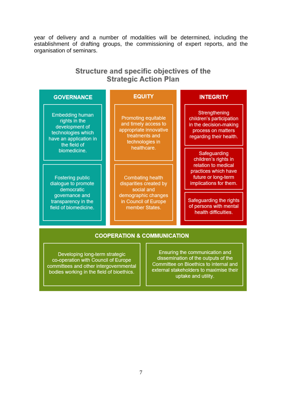year of delivery and a number of modalities will be determined, including the establishment of drafting groups, the commissioning of expert reports, and the organisation of seminars.

### Structure and specific objectives of the **Strategic Action Plan**

| <b>GOVERNANCE</b>                                                                                                         | <b>EQUITY</b>                                                                                                                    | <b>INTEGRITY</b>                                                                                                     |
|---------------------------------------------------------------------------------------------------------------------------|----------------------------------------------------------------------------------------------------------------------------------|----------------------------------------------------------------------------------------------------------------------|
| <b>Embedding human</b><br>rights in the<br>development of<br>technologies which<br>have an application in<br>the field of | <b>Promoting equitable</b><br>and timely access to<br>appropriate innovative<br>treatments and<br>technologies in                | Strengthening<br>children's participation<br>in the decision-making<br>process on matters<br>regarding their health. |
| biomedicine.                                                                                                              | healthcare.                                                                                                                      | Safeguarding<br>children's rights in                                                                                 |
| <b>Fostering public</b><br>dialogue to promote<br>democratic                                                              | <b>Combating health</b><br>disparities created by<br>social and<br>demographic changes<br>in Council of Europe<br>member States. | relation to medical<br>practices which have<br>future or long-term<br>implications for them.                         |
| governance and<br>transparency in the<br>field of biomedicine.                                                            |                                                                                                                                  | Safeguarding the rights<br>of persons with mental<br>health difficulties.                                            |

#### **COOPERATION & COMMUNICATION**

Developing long-term strategic co-operation with Council of Europe committees and other intergovernmental bodies working in the field of bioethics.

Ensuring the communication and dissemination of the outputs of the Committee on Bioethics to internal and external stakeholders to maximise their uptake and utility.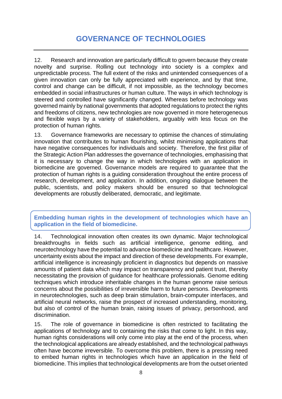# **GOVERNANCE OF TECHNOLOGIES**

<span id="page-7-0"></span>12. Research and innovation are particularly difficult to govern because they create novelty and surprise. Rolling out technology into society is a complex and unpredictable process. The full extent of the risks and unintended consequences of a given innovation can only be fully appreciated with experience, and by that time, control and change can be difficult, if not impossible, as the technology becomes embedded in social infrastructures or human culture. The ways in which technology is steered and controlled have significantly changed. Whereas before technology was governed mainly by national governments that adopted regulations to protect the rights and freedoms of citizens, new technologies are now governed in more heterogeneous and flexible ways by a variety of stakeholders, arguably with less focus on the protection of human rights.

13. Governance frameworks are necessary to optimise the chances of stimulating innovation that contributes to human flourishing, whilst minimising applications that have negative consequences for individuals and society. Therefore, the first pillar of the Strategic Action Plan addresses the governance of technologies, emphasising that it is necessary to change the way in which technologies with an application in biomedicine are governed. Governance models are required to guarantee that the protection of human rights is a guiding consideration throughout the entire process of research, development, and application. In addition, ongoing dialogue between the public, scientists, and policy makers should be ensured so that technological developments are robustly deliberated, democratic, and legitimate.

<span id="page-7-1"></span>**Embedding human rights in the development of technologies which have an application in the field of biomedicine.**

14. Technological innovation often creates its own dynamic. Major technological breakthroughs in fields such as artificial intelligence, genome editing, and neurotechnology have the potential to advance biomedicine and healthcare. However, uncertainty exists about the impact and direction of these developments. For example, artificial intelligence is increasingly proficient in diagnostics but depends on massive amounts of patient data which may impact on transparency and patient trust, thereby necessitating the provision of guidance for healthcare professionals. Genome editing techniques which introduce inheritable changes in the human genome raise serious concerns about the possibilities of irreversible harm to future persons. Developments in neurotechnologies, such as deep brain stimulation, brain-computer interfaces, and artificial neural networks, raise the prospect of increased understanding, monitoring, but also of control of the human brain, raising issues of privacy, personhood, and discrimination.

15. The role of governance in biomedicine is often restricted to facilitating the applications of technology and to containing the risks that come to light. In this way, human rights considerations will only come into play at the end of the process, when the technological applications are already established, and the technological pathways often have become irreversible. To overcome this problem, there is a pressing need to embed human rights in technologies which have an application in the field of biomedicine. This implies that technological developments are from the outset oriented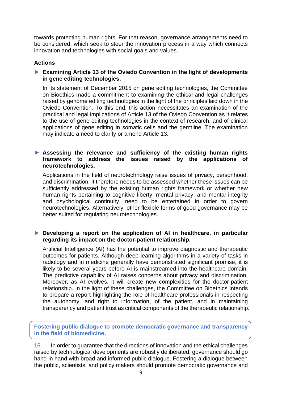towards protecting human rights. For that reason, governance arrangements need to be considered, which seek to steer the innovation process in a way which connects innovation and technologies with social goals and values.

#### **Actions**

#### ► **Examining Article 13 of the Oviedo Convention in the light of developments in gene editing technologies.**

In its statement of December 2015 on gene editing technologies, the Committee on Bioethics made a commitment to examining the ethical and legal challenges raised by genome editing technologies in the light of the principles laid down in the Oviedo Convention. To this end, this action necessitates an examination of the practical and legal implications of Article 13 of the Oviedo Convention as it relates to the use of gene editing technologies in the context of research, and of clinical applications of gene editing in somatic cells and the germline. The examination may indicate a need to clarify or amend Article 13.

#### ► **Assessing the relevance and sufficiency of the existing human rights framework to address the issues raised by the applications of neurotechnologies.**

Applications in the field of neurotechnology raise issues of privacy, personhood, and discrimination. It therefore needs to be assessed whether these issues can be sufficiently addressed by the existing human rights framework or whether new human rights pertaining to cognitive liberty, mental privacy, and mental integrity and psychological continuity, need to be entertained in order to govern neurotechnologies. Alternatively, other flexible forms of good governance may be better suited for regulating neurotechnologies.

#### ► **Developing a report on the application of AI in healthcare, in particular regarding its impact on the doctor-patient relationship.**

Artificial Intelligence (AI) has the potential to improve diagnostic and therapeutic outcomes for patients. Although deep learning algorithms in a variety of tasks in radiology and in medicine generally have demonstrated significant promise, it is likely to be several years before AI is mainstreamed into the healthcare domain. The predictive capability of AI raises concerns about privacy and discrimination. Moreover, as AI evolves, it will create new complexities for the doctor-patient relationship. In the light of these challenges, the Committee on Bioethics intends to prepare a report highlighting the role of healthcare professionals in respecting the autonomy, and right to information, of the patient, and in maintaining transparency and patient trust as critical components of the therapeutic relationship.

<span id="page-8-0"></span>**Fostering public dialogue to promote democratic governance and transparency in the field of biomedicine.**

16. In order to guarantee that the directions of innovation and the ethical challenges raised by technological developments are robustly deliberated, governance should go hand in hand with broad and informed public dialogue. Fostering a dialogue between the public, scientists, and policy makers should promote democratic governance and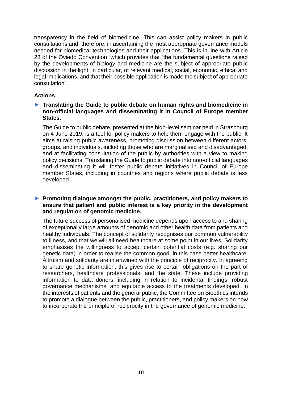transparency in the field of biomedicine. This can assist policy makers in public consultations and, therefore, in ascertaining the most appropriate governance models needed for biomedical technologies and their applications. This is in line with Article 28 of the Oviedo Convention, which provides that "the fundamental questions raised by the developments of biology and medicine are the subject of appropriate public discussion in the light, in particular, of relevant medical, social, economic, ethical and legal implications, and that their possible application is made the subject of appropriate consultation".

#### **Actions**

#### ► **Translating the Guide to public debate on human rights and biomedicine in non-official languages and disseminating it in Council of Europe member States.**

The Guide to public debate, presented at the high-level seminar held in Strasbourg on 4 June 2019, is a tool for policy makers to help them engage with the public. It aims at raising public awareness, promoting discussion between different actors, groups, and individuals, including those who are marginalised and disadvantaged, and at facilitating consultation of the public by authorities with a view to making policy decisions. Translating the Guide to public debate into non-official languages and disseminating it will foster public debate initiatives in Council of Europe member States, including in countries and regions where public debate is less developed.

#### ► **Promoting dialogue amongst the public, practitioners, and policy makers to ensure that patient and public interest is a key priority in the development and regulation of genomic medicine.**

The future success of personalised medicine depends upon access to and sharing of exceptionally large amounts of genomic and other health data from patients and healthy individuals. The concept of solidarity recognises our common vulnerability to illness, and that we will all need healthcare at some point in our lives. Solidarity emphasises the willingness to accept certain potential costs (e.g. sharing our genetic data) in order to realise the common good, in this case better healthcare. Altruism and solidarity are intertwined with the principle of reciprocity. In agreeing to share genetic information, this gives rise to certain obligations on the part of researchers, healthcare professionals, and the state. These include providing information to data donors, including in relation to incidental findings, robust governance mechanisms, and equitable access to the treatments developed. In the interests of patients and the general public, the Committee on Bioethics intends to promote a dialogue between the public, practitioners, and policy makers on how to incorporate the principle of reciprocity in the governance of genomic medicine.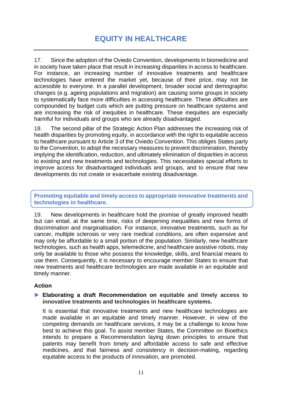# **EQUITY IN HEALTHCARE**

<span id="page-10-0"></span>17. Since the adoption of the Oviedo Convention, developments in biomedicine and in society have taken place that result in increasing disparities in access to healthcare. For instance, an increasing number of innovative treatments and healthcare technologies have entered the market yet, because of their price, may not be accessible to everyone. In a parallel development, broader social and demographic changes (e.g. ageing populations and migration) are causing some groups in society to systematically face more difficulties in accessing healthcare. These difficulties are compounded by budget cuts which are putting pressure on healthcare systems and are increasing the risk of inequities in healthcare. These inequities are especially harmful for individuals and groups who are already disadvantaged.

18. The second pillar of the Strategic Action Plan addresses the increasing risk of health disparities by promoting equity, in accordance with the right to equitable access to healthcare pursuant to Article 3 of the Oviedo Convention. This obliges States party to the Convention, to adopt the necessary measures to prevent discrimination, thereby implying the identification, reduction, and ultimately elimination of disparities in access to existing and new treatments and technologies. This necessitates special efforts to improve access for disadvantaged individuals and groups, and to ensure that new developments do not create or exacerbate existing disadvantage.

<span id="page-10-1"></span>**Promoting equitable and timely access to appropriate innovative treatments and technologies in healthcare.**

19. New developments in healthcare hold the promise of greatly improved health but can entail, at the same time, risks of deepening inequalities and new forms of discrimination and marginalisation. For instance, innovative treatments, such as for cancer, multiple sclerosis or very rare medical conditions, are often expensive and may only be affordable to a small portion of the population. Similarly, new healthcare technologies, such as health apps, telemedicine, and healthcare assistive robots, may only be available to those who possess the knowledge, skills, and financial means to use them. Consequently, it is necessary to encourage member States to ensure that new treatments and healthcare technologies are made available in an equitable and timely manner.

#### **Action**

#### ► **Elaborating a draft Recommendation on equitable and timely access to innovative treatments and technologies in healthcare systems.**

It is essential that innovative treatments and new healthcare technologies are made available in an equitable and timely manner. However, in view of the competing demands on healthcare services, it may be a challenge to know how best to achieve this goal. To assist member States, the Committee on Bioethics intends to prepare a Recommendation laying down principles to ensure that patients may benefit from timely and affordable access to safe and effective medicines, and that fairness and consistency in decision-making, regarding equitable access to the products of innovation, are promoted.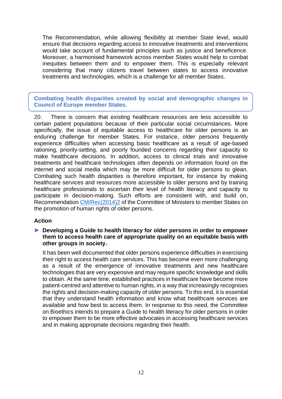The Recommendation, while allowing flexibility at member State level, would ensure that decisions regarding access to innovative treatments and interventions would take account of fundamental principles such as justice and beneficence. Moreover, a harmonised framework across member States would help to combat inequities between them and to empower them. This is especially relevant considering that many citizens travel between states to access innovative treatments and technologies, which is a challenge for all member States.

<span id="page-11-0"></span>**Combating health disparities created by social and demographic changes in Council of Europe member States.**

20. There is concern that existing healthcare resources are less accessible to certain patient populations because of their particular social circumstances. More specifically, the issue of equitable access to healthcare for older persons is an enduring challenge for member States. For instance, older persons frequently experience difficulties when accessing basic healthcare as a result of age-based rationing, priority-setting, and poorly founded concerns regarding their capacity to make healthcare decisions. In addition, access to clinical trials and innovative treatments and healthcare technologies often depends on information found on the internet and social media which may be more difficult for older persons to glean. Combating such health disparities is therefore important, for instance by making healthcare services and resources more accessible to older persons and by training healthcare professionals to ascertain their level of health literacy and capacity to participate in decision-making. Such efforts are consistent with, and build on, Recommendation [CM/Rec\(2014\)2](https://search.coe.int/cm/Pages/result_details.aspx?Reference=CM/Rec(2014)2) of the Committee of Ministers to member States on the promotion of human rights of older persons.

#### **Action**

#### ► **Developing a Guide to health literacy for older persons in order to empower them to access health care of appropriate quality on an equitable basis with other groups in society.**

It has been well documented that older persons experience difficulties in exercising their right to access health care services. This has become even more challenging as a result of the emergence of innovative treatments and new healthcare technologies that are very expensive and may require specific knowledge and skills to obtain. At the same time, established practices in healthcare have become more patient-centred and attentive to human rights, in a way that increasingly recognises the rights and decision-making capacity of older persons. To this end, it is essential that they understand health information and know what healthcare services are available and how best to access them. In response to this need, the Committee on Bioethics intends to prepare a Guide to health literacy for older persons in order to empower them to be more effective advocates in accessing healthcare services and in making appropriate decisions regarding their health.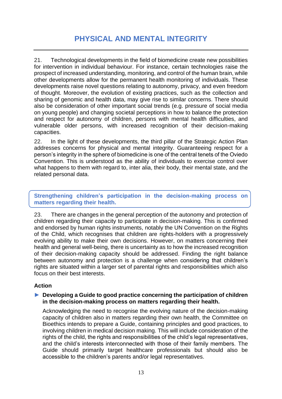## **PHYSICAL AND MENTAL INTEGRITY**

<span id="page-12-0"></span>21. Technological developments in the field of biomedicine create new possibilities for intervention in individual behaviour. For instance, certain technologies raise the prospect of increased understanding, monitoring, and control of the human brain, while other developments allow for the permanent health monitoring of individuals. These developments raise novel questions relating to autonomy, privacy, and even freedom of thought. Moreover, the evolution of existing practices, such as the collection and sharing of genomic and health data, may give rise to similar concerns. There should also be consideration of other important social trends (e.g. pressure of social media on young people) and changing societal perceptions in how to balance the protection and respect for autonomy of children, persons with mental health difficulties, and vulnerable older persons, with increased recognition of their decision-making capacities.

22. In the light of these developments, the third pillar of the Strategic Action Plan addresses concerns for physical and mental integrity. Guaranteeing respect for a person's integrity in the sphere of biomedicine is one of the central tenets of the Oviedo Convention. This is understood as the ability of individuals to exercise control over what happens to them with regard to, inter alia, their body, their mental state, and the related personal data.

#### <span id="page-12-1"></span>**Strengthening children's participation in the decision-making process on matters regarding their health.**

23. There are changes in the general perception of the autonomy and protection of children regarding their capacity to participate in decision-making. This is confirmed and endorsed by human rights instruments, notably the UN Convention on the Rights of the Child, which recognises that children are rights-holders with a progressively evolving ability to make their own decisions. However, on matters concerning their health and general well-being, there is uncertainty as to how the increased recognition of their decision-making capacity should be addressed. Finding the right balance between autonomy and protection is a challenge when considering that children's rights are situated within a larger set of parental rights and responsibilities which also focus on their best interests.

#### **Action**

#### ► **Developing a Guide to good practice concerning the participation of children in the decision-making process on matters regarding their health.**

Acknowledging the need to recognise the evolving nature of the decision-making capacity of children also in matters regarding their own health, the Committee on Bioethics intends to prepare a Guide, containing principles and good practices, to involving children in medical decision making. This will include consideration of the rights of the child, the rights and responsibilities of the child's legal representatives, and the child's interests interconnected with those of their family members. The Guide should primarily target healthcare professionals but should also be accessible to the children's parents and/or legal representatives.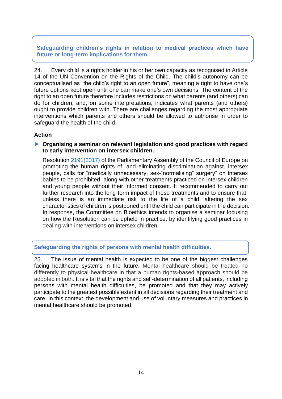**Safeguarding children's rights in relation to medical practices which have future or long-term implications for them.**

24. Every child is a rights holder in his or her own capacity as recognised in Article 14 of the UN Convention on the Rights of the Child. The child's autonomy can be conceptualised as "the child's right to an open future", meaning a right to have one's future options kept open until one can make one's own decisions. The content of the right to an open future therefore includes restrictions on what parents (and others) can do for children, and, on some interpretations, indicates what parents (and others) ought to provide children with. There are challenges regarding the most appropriate interventions which parents and others should be allowed to authorise in order to safeguard the health of the child.

#### **Action**

#### ► **Organising a seminar on relevant legislation and good practices with regard to early intervention on intersex children.**

Resolution [2191\(2017\)](http://assembly.coe.int/nw/xml/XRef/Xref-XML2HTML-en.asp?fileid=24232&lang=en) of the Parliamentary Assembly of the Council of Europe on promoting the human rights of, and eliminating discrimination against, intersex people, calls for "medically unnecessary, sex-"normalising" surgery" on intersex babies to be prohibited, along with other treatments practiced on intersex children and young people without their informed consent. It recommended to carry out further research into the long-term impact of these treatments and to ensure that, unless there is an immediate risk to the life of a child, altering the sex characteristics of children is postponed until the child can participate in the decision. In response, the Committee on Bioethics intends to organise a seminar focusing on how the Resolution can be upheld in practice, by identifying good practices in dealing with interventions on intersex children.

#### <span id="page-13-0"></span>**Safeguarding the rights of persons with mental health difficulties.**

25. The issue of mental health is expected to be one of the biggest challenges facing healthcare systems in the future. Mental healthcare should be treated no differently to physical healthcare in that a human rights-based approach should be adopted in both. It is vital that the rights and self-determination of all patients, including persons with mental health difficulties, be promoted and that they may actively participate to the greatest possible extent in all decisions regarding their treatment and care. In this context, the development and use of voluntary measures and practices in mental healthcare should be promoted.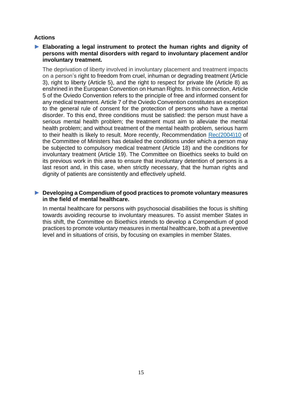#### **Actions**

#### ► **Elaborating a legal instrument to protect the human rights and dignity of persons with mental disorders with regard to involuntary placement and/or involuntary treatment.**

The deprivation of liberty involved in involuntary placement and treatment impacts on a person's right to freedom from cruel, inhuman or degrading treatment (Article 3), right to liberty (Article 5), and the right to respect for private life (Article 8) as enshrined in the European Convention on Human Rights. In this connection, Article 5 of the Oviedo Convention refers to the principle of free and informed consent for any medical treatment. Article 7 of the Oviedo Convention constitutes an exception to the general rule of consent for the protection of persons who have a mental disorder. To this end, three conditions must be satisfied: the person must have a serious mental health problem; the treatment must aim to alleviate the mental health problem; and without treatment of the mental health problem, serious harm to their health is likely to result. More recently, Recommendation [Rec\(2004\)10](https://www.coe.int/t/dg3/healthbioethic/Activities/08_Psychiatry_and_human_rights_en/Rec(2004)10%20EM%20E.pdf) of the Committee of Ministers has detailed the conditions under which a person may be subjected to compulsory medical treatment (Article 18) and the conditions for involuntary treatment (Article 19). The Committee on Bioethics seeks to build on its previous work in this area to ensure that involuntary detention of persons is a last resort and, in this case, when strictly necessary, that the human rights and dignity of patients are consistently and effectively upheld.

#### ► **Developing a Compendium of good practices to promote voluntary measures in the field of mental healthcare.**

In mental healthcare for persons with psychosocial disabilities the focus is shifting towards avoiding recourse to involuntary measures. To assist member States in this shift, the Committee on Bioethics intends to develop a Compendium of good practices to promote voluntary measures in mental healthcare, both at a preventive level and in situations of crisis, by focusing on examples in member States.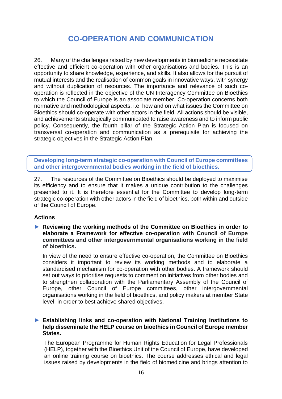# **CO-OPERATION AND COMMUNICATION**

<span id="page-15-0"></span>26. Many of the challenges raised by new developments in biomedicine necessitate effective and efficient co-operation with other organisations and bodies. This is an opportunity to share knowledge, experience, and skills. It also allows for the pursuit of mutual interests and the realisation of common goals in innovative ways, with synergy and without duplication of resources. The importance and relevance of such cooperation is reflected in the objective of the UN Interagency Committee on Bioethics to which the Council of Europe is an associate member. Co-operation concerns both normative and methodological aspects, i.e. how and on what issues the Committee on Bioethics should co-operate with other actors in the field. All actions should be visible, and achievements strategically communicated to raise awareness and to inform public policy. Consequently, the fourth pillar of the Strategic Action Plan is focused on transversal co-operation and communication as a prerequisite for achieving the strategic objectives in the Strategic Action Plan.

<span id="page-15-1"></span>**Developing long-term strategic co-operation with Council of Europe committees and other intergovernmental bodies working in the field of bioethics.**

27. The resources of the Committee on Bioethics should be deployed to maximise its efficiency and to ensure that it makes a unique contribution to the challenges presented to it. It is therefore essential for the Committee to develop long-term strategic co-operation with other actors in the field of bioethics, both within and outside of the Council of Europe.

#### **Actions**

► **Reviewing the working methods of the Committee on Bioethics in order to elaborate a Framework for effective co-operation with Council of Europe committees and other intergovernmental organisations working in the field of bioethics.**

In view of the need to ensure effective co-operation, the Committee on Bioethics considers it important to review its working methods and to elaborate a standardised mechanism for co-operation with other bodies. A framework should set out ways to prioritise requests to comment on initiatives from other bodies and to strengthen collaboration with the Parliamentary Assembly of the Council of Europe, other Council of Europe committees, other intergovernmental organisations working in the field of bioethics, and policy makers at member State level, in order to best achieve shared objectives.

#### ► **Establishing links and co-operation with National Training Institutions to help disseminate the HELP course on bioethics in Council of Europe member States.**

The European Programme for Human Rights Education for Legal Professionals (HELP), together with the Bioethics Unit of the Council of Europe, have developed an online training course on bioethics. The course addresses ethical and legal issues raised by developments in the field of biomedicine and brings attention to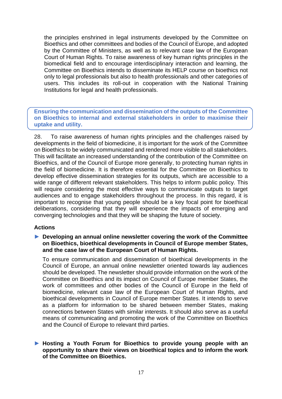the principles enshrined in legal instruments developed by the Committee on Bioethics and other committees and bodies of the Council of Europe, and adopted by the Committee of Ministers, as well as to relevant case law of the European Court of Human Rights. To raise awareness of key human rights principles in the biomedical field and to encourage interdisciplinary interaction and learning, the Committee on Bioethics intends to disseminate its HELP course on bioethics not only to legal professionals but also to health professionals and other categories of users. This includes its roll-out in cooperation with the National Training Institutions for legal and health professionals.

<span id="page-16-0"></span>**Ensuring the communication and dissemination of the outputs of the Committee on Bioethics to internal and external stakeholders in order to maximise their uptake and utility.**

28. To raise awareness of human rights principles and the challenges raised by developments in the field of biomedicine, it is important for the work of the Committee on Bioethics to be widely communicated and rendered more visible to all stakeholders. This will facilitate an increased understanding of the contribution of the Committee on Bioethics, and of the Council of Europe more generally, to protecting human rights in the field of biomedicine. It is therefore essential for the Committee on Bioethics to develop effective dissemination strategies for its outputs, which are accessible to a wide range of different relevant stakeholders. This helps to inform public policy. This will require considering the most effective ways to communicate outputs to target audiences and to engage stakeholders throughout the process. In this regard, it is important to recognise that young people should be a key focal point for bioethical deliberations, considering that they will experience the impacts of emerging and converging technologies and that they will be shaping the future of society.

#### **Actions**

► **Developing an annual online newsletter covering the work of the Committee on Bioethics, bioethical developments in Council of Europe member States, and the case law of the European Court of Human Rights.**

To ensure communication and dissemination of bioethical developments in the Council of Europe, an annual online newsletter oriented towards lay audiences should be developed. The newsletter should provide information on the work of the Committee on Bioethics and its impact on Council of Europe member States, the work of committees and other bodies of the Council of Europe in the field of biomedicine, relevant case law of the European Court of Human Rights, and bioethical developments in Council of Europe member States. It intends to serve as a platform for information to be shared between member States, making connections between States with similar interests. It should also serve as a useful means of communicating and promoting the work of the Committee on Bioethics and the Council of Europe to relevant third parties.

#### ► **Hosting a Youth Forum for Bioethics to provide young people with an opportunity to share their views on bioethical topics and to inform the work of the Committee on Bioethics.**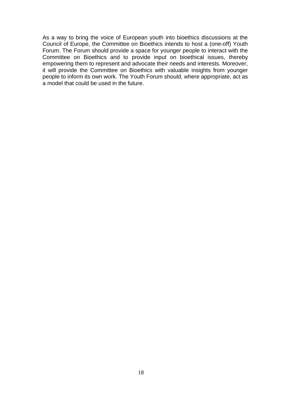As a way to bring the voice of European youth into bioethics discussions at the Council of Europe, the Committee on Bioethics intends to host a (one-off) Youth Forum. The Forum should provide a space for younger people to interact with the Committee on Bioethics and to provide input on bioethical issues, thereby empowering them to represent and advocate their needs and interests. Moreover, it will provide the Committee on Bioethics with valuable insights from younger people to inform its own work. The Youth Forum should, where appropriate, act as a model that could be used in the future.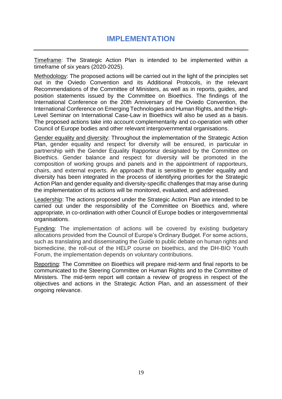### **IMPLEMENTATION**

<span id="page-18-0"></span>Timeframe: The Strategic Action Plan is intended to be implemented within a timeframe of six years (2020-2025).

Methodology: The proposed actions will be carried out in the light of the principles set out in the Oviedo Convention and its Additional Protocols, in the relevant Recommendations of the Committee of Ministers, as well as in reports, guides, and position statements issued by the Committee on Bioethics. The findings of the International Conference on the 20th Anniversary of the Oviedo Convention, the International Conference on Emerging Technologies and Human Rights, and the High-Level Seminar on International Case-Law in Bioethics will also be used as a basis. The proposed actions take into account complementarity and co-operation with other Council of Europe bodies and other relevant intergovernmental organisations.

Gender equality and diversity: Throughout the implementation of the Strategic Action Plan, gender equality and respect for diversity will be ensured, in particular in partnership with the Gender Equality Rapporteur designated by the Committee on Bioethics. Gender balance and respect for diversity will be promoted in the composition of working groups and panels and in the appointment of rapporteurs, chairs, and external experts. An approach that is sensitive to gender equality and diversity has been integrated in the process of identifying priorities for the Strategic Action Plan and gender equality and diversity-specific challenges that may arise during the implementation of its actions will be monitored, evaluated, and addressed.

Leadership: The actions proposed under the Strategic Action Plan are intended to be carried out under the responsibility of the Committee on Bioethics and, where appropriate, in co-ordination with other Council of Europe bodies or intergovernmental organisations.

Funding: The implementation of actions will be covered by existing budgetary allocations provided from the Council of Europe's Ordinary Budget. For some actions, such as translating and disseminating the Guide to public debate on human rights and biomedicine, the roll-out of the HELP course on bioethics, and the DH-BIO Youth Forum, the implementation depends on voluntary contributions.

Reporting: The Committee on Bioethics will prepare mid-term and final reports to be communicated to the Steering Committee on Human Rights and to the Committee of Ministers. The mid-term report will contain a review of progress in respect of the objectives and actions in the Strategic Action Plan, and an assessment of their ongoing relevance.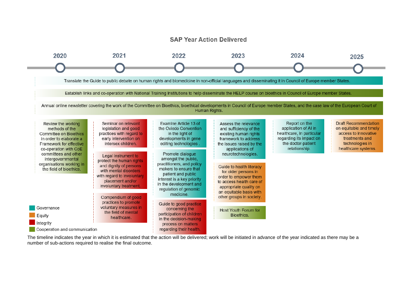#### **SAP Year Action Delivered**



The timeline indicates the year in which it is estimated that the action will be delivered; work will be initiated in advance of the year indicated as there may be a number of sub-actions required to realise the final outcome.